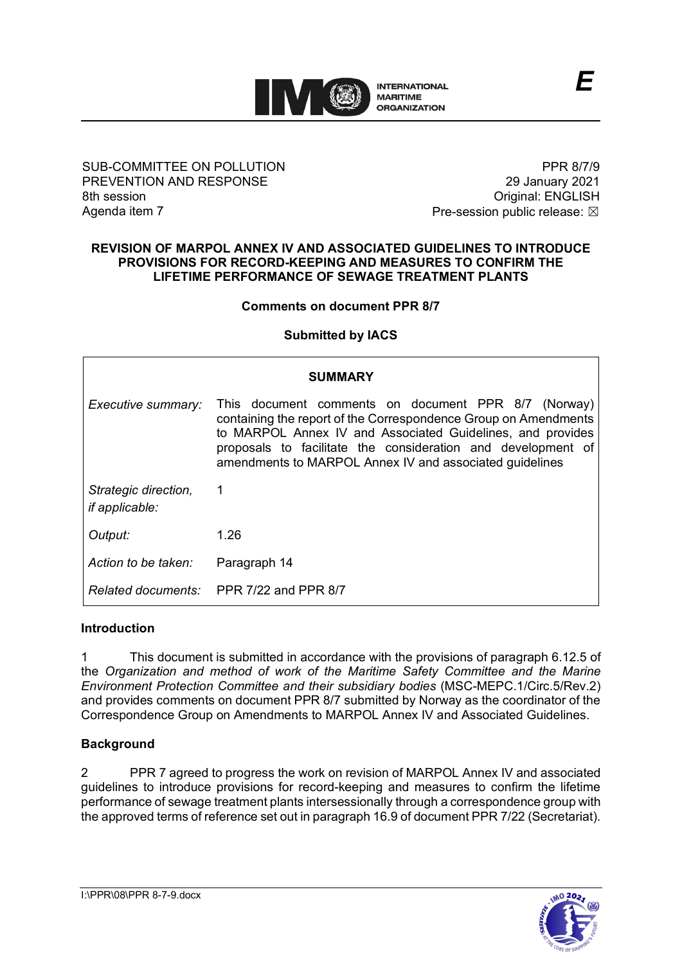

#### SUB-COMMITTEE ON POLLUTION PREVENTION AND RESPONSE 8th session Agenda item 7

PPR 8/7/9 29 January 2021 Original: ENGLISH Pre-session public release:  $\boxtimes$ 

#### **REVISION OF MARPOL ANNEX IV AND ASSOCIATED GUIDELINES TO INTRODUCE PROVISIONS FOR RECORD-KEEPING AND MEASURES TO CONFIRM THE LIFETIME PERFORMANCE OF SEWAGE TREATMENT PLANTS**

### **Comments on document PPR 8/7**

### **Submitted by IACS**

| <b>SUMMARY</b>                                |                                                                                                                                                                                                                                                                                                                 |
|-----------------------------------------------|-----------------------------------------------------------------------------------------------------------------------------------------------------------------------------------------------------------------------------------------------------------------------------------------------------------------|
| Executive summary:                            | This document comments on document PPR 8/7 (Norway)<br>containing the report of the Correspondence Group on Amendments<br>to MARPOL Annex IV and Associated Guidelines, and provides<br>proposals to facilitate the consideration and development of<br>amendments to MARPOL Annex IV and associated guidelines |
| Strategic direction,<br><i>if applicable:</i> | $\overline{1}$                                                                                                                                                                                                                                                                                                  |
| Output:                                       | 1.26                                                                                                                                                                                                                                                                                                            |
| Action to be taken:                           | Paragraph 14                                                                                                                                                                                                                                                                                                    |
|                                               | Related documents: PPR 7/22 and PPR 8/7                                                                                                                                                                                                                                                                         |

### **Introduction**

1 This document is submitted in accordance with the provisions of paragraph 6.12.5 of the *Organization and method of work of the Maritime Safety Committee and the Marine Environment Protection Committee and their subsidiary bodies* (MSC-MEPC.1/Circ.5/Rev.2) and provides comments on document PPR 8/7 submitted by Norway as the coordinator of the Correspondence Group on Amendments to MARPOL Annex IV and Associated Guidelines.

### **Background**

2 PPR 7 agreed to progress the work on revision of MARPOL Annex IV and associated guidelines to introduce provisions for record-keeping and measures to confirm the lifetime performance of sewage treatment plants intersessionally through a correspondence group with the approved terms of reference set out in paragraph 16.9 of document PPR 7/22 (Secretariat).

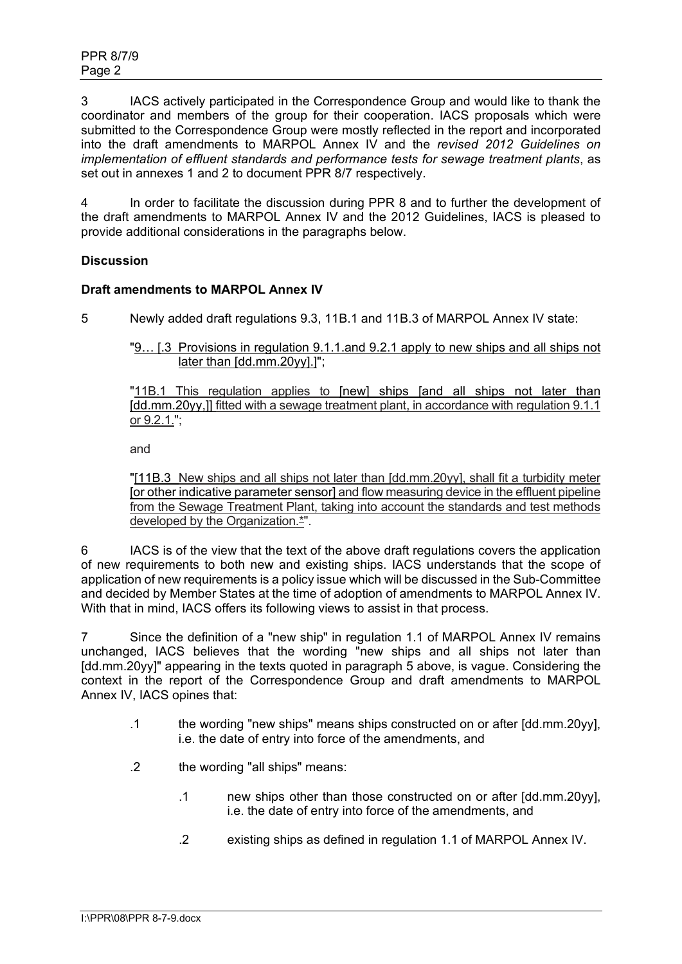3 IACS actively participated in the Correspondence Group and would like to thank the coordinator and members of the group for their cooperation. IACS proposals which were submitted to the Correspondence Group were mostly reflected in the report and incorporated into the draft amendments to MARPOL Annex IV and the *revised 2012 Guidelines on implementation of effluent standards and performance tests for sewage treatment plants*, as set out in annexes 1 and 2 to document PPR 8/7 respectively.

4 In order to facilitate the discussion during PPR 8 and to further the development of the draft amendments to MARPOL Annex IV and the 2012 Guidelines, IACS is pleased to provide additional considerations in the paragraphs below.

# **Discussion**

# **Draft amendments to MARPOL Annex IV**

5 Newly added draft regulations 9.3, 11B.1 and 11B.3 of MARPOL Annex IV state:

"9… [.3 Provisions in regulation 9.1.1.and 9.2.1 apply to new ships and all ships not later than [dd.mm.20yy].]";

"11B.1 This regulation applies to [new] ships [and all ships not later than [dd.mm.20yy,]] fitted with a sewage treatment plant, in accordance with regulation 9.1.1 or 9.2.1.";

and

"[11B.3 New ships and all ships not later than [dd.mm.20yy], shall fit a turbidity meter [or other indicative parameter sensor] and flow measuring device in the effluent pipeline from the Sewage Treatment Plant, taking into account the standards and test methods developed by the Organization.<sup>\*"</sup>.

6 IACS is of the view that the text of the above draft regulations covers the application of new requirements to both new and existing ships. IACS understands that the scope of application of new requirements is a policy issue which will be discussed in the Sub-Committee and decided by Member States at the time of adoption of amendments to MARPOL Annex IV. With that in mind, IACS offers its following views to assist in that process.

7 Since the definition of a "new ship" in regulation 1.1 of MARPOL Annex IV remains unchanged, IACS believes that the wording "new ships and all ships not later than [dd.mm.20yy]" appearing in the texts quoted in paragraph 5 above, is vague. Considering the context in the report of the Correspondence Group and draft amendments to MARPOL Annex IV, IACS opines that:

- .1 the wording "new ships" means ships constructed on or after [dd.mm.20yy], i.e. the date of entry into force of the amendments, and
- .2 the wording "all ships" means:
	- .1 new ships other than those constructed on or after [dd.mm.20yy], i.e. the date of entry into force of the amendments, and
	- .2 existing ships as defined in regulation 1.1 of MARPOL Annex IV.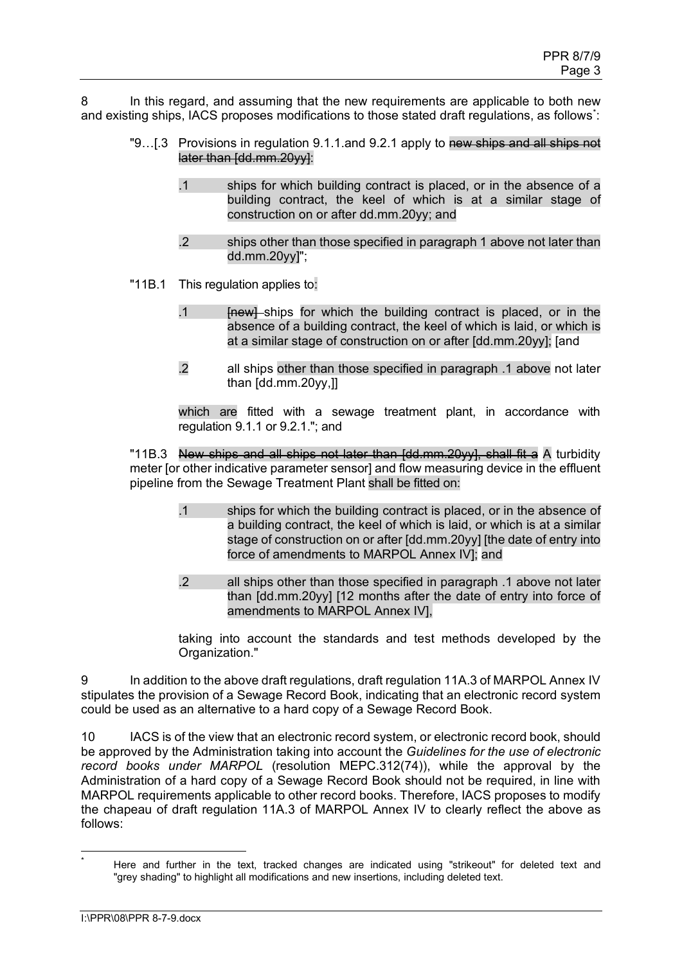8 In this regard, and assuming that the new requirements are applicable to both new and existing ships, IACS proposes modifications to those stated draft regulations, as follows $\dot{\cdot}$ :

- "9...[.3 Provisions in regulation 9.1.1.and 9.2.1 apply to new ships and all ships not later than [dd.mm.20yy]:
	- .1 ships for which building contract is placed, or in the absence of a building contract, the keel of which is at a similar stage of construction on or after dd.mm.20yy; and
	- .2 ships other than those specified in paragraph 1 above not later than dd.mm.20yy]";
- "11B.1 This regulation applies to:
	- .1 **Inewl-ships for which the building contract is placed, or in the** absence of a building contract, the keel of which is laid, or which is at a similar stage of construction on or after [dd.mm.20yy]; [and
	- .2 all ships other than those specified in paragraph .1 above not later than [dd.mm.20yy,]]

which are fitted with a sewage treatment plant, in accordance with regulation 9.1.1 or 9.2.1."; and

"11B.3 New ships and all ships not later than [dd.mm.20yy], shall fit a A turbidity meter [or other indicative parameter sensor] and flow measuring device in the effluent pipeline from the Sewage Treatment Plant shall be fitted on:

- .1 ships for which the building contract is placed, or in the absence of a building contract, the keel of which is laid, or which is at a similar stage of construction on or after [dd.mm.20yy] [the date of entry into force of amendments to MARPOL Annex IV]; and
- .2 all ships other than those specified in paragraph .1 above not later than [dd.mm.20yy] [12 months after the date of entry into force of amendments to MARPOL Annex IV],

taking into account the standards and test methods developed by the Organization."

9 In addition to the above draft regulations, draft regulation 11A.3 of MARPOL Annex IV stipulates the provision of a Sewage Record Book, indicating that an electronic record system could be used as an alternative to a hard copy of a Sewage Record Book.

10 IACS is of the view that an electronic record system, or electronic record book, should be approved by the Administration taking into account the *Guidelines for the use of electronic record books under MARPOL* (resolution MEPC.312(74)), while the approval by the Administration of a hard copy of a Sewage Record Book should not be required, in line with MARPOL requirements applicable to other record books. Therefore, IACS proposes to modify the chapeau of draft regulation 11A.3 of MARPOL Annex IV to clearly reflect the above as follows:

<span id="page-2-0"></span>Here and further in the text, tracked changes are indicated using "strikeout" for deleted text and "grey shading" to highlight all modifications and new insertions, including deleted text.